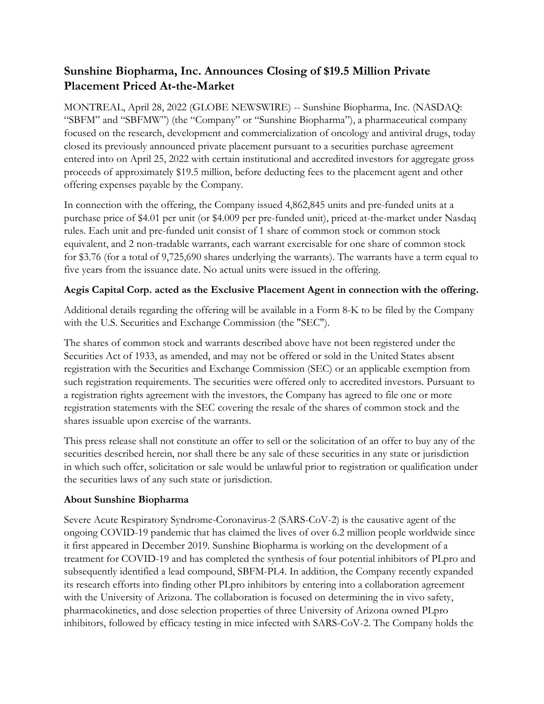## **Sunshine Biopharma, Inc. Announces Closing of \$19.5 Million Private Placement Priced At-the-Market**

MONTREAL, April 28, 2022 (GLOBE NEWSWIRE) -- Sunshine Biopharma, Inc. (NASDAQ: "SBFM" and "SBFMW") (the "Company" or "Sunshine Biopharma"), a pharmaceutical company focused on the research, development and commercialization of oncology and antiviral drugs, today closed its previously announced private placement pursuant to a securities purchase agreement entered into on April 25, 2022 with certain institutional and accredited investors for aggregate gross proceeds of approximately \$19.5 million, before deducting fees to the placement agent and other offering expenses payable by the Company.

In connection with the offering, the Company issued 4,862,845 units and pre-funded units at a purchase price of \$4.01 per unit (or \$4.009 per pre-funded unit), priced at-the-market under Nasdaq rules. Each unit and pre-funded unit consist of 1 share of common stock or common stock equivalent, and 2 non-tradable warrants, each warrant exercisable for one share of common stock for \$3.76 (for a total of 9,725,690 shares underlying the warrants). The warrants have a term equal to five years from the issuance date. No actual units were issued in the offering.

## **Aegis Capital Corp. acted as the Exclusive Placement Agent in connection with the offering.**

Additional details regarding the offering will be available in a Form 8-K to be filed by the Company with the U.S. Securities and Exchange Commission (the "SEC").

The shares of common stock and warrants described above have not been registered under the Securities Act of 1933, as amended, and may not be offered or sold in the United States absent registration with the Securities and Exchange Commission (SEC) or an applicable exemption from such registration requirements. The securities were offered only to accredited investors. Pursuant to a registration rights agreement with the investors, the Company has agreed to file one or more registration statements with the SEC covering the resale of the shares of common stock and the shares issuable upon exercise of the warrants.

This press release shall not constitute an offer to sell or the solicitation of an offer to buy any of the securities described herein, nor shall there be any sale of these securities in any state or jurisdiction in which such offer, solicitation or sale would be unlawful prior to registration or qualification under the securities laws of any such state or jurisdiction.

## **About Sunshine Biopharma**

Severe Acute Respiratory Syndrome-Coronavirus-2 (SARS-CoV-2) is the causative agent of the ongoing COVID-19 pandemic that has claimed the lives of over 6.2 million people worldwide since it first appeared in December 2019. Sunshine Biopharma is working on the development of a treatment for COVID-19 and has completed the synthesis of four potential inhibitors of PLpro and subsequently identified a lead compound, SBFM-PL4. In addition, the Company recently expanded its research efforts into finding other PLpro inhibitors by entering into a collaboration agreement with the University of Arizona. The collaboration is focused on determining the in vivo safety, pharmacokinetics, and dose selection properties of three University of Arizona owned PLpro inhibitors, followed by efficacy testing in mice infected with SARS-CoV-2. The Company holds the